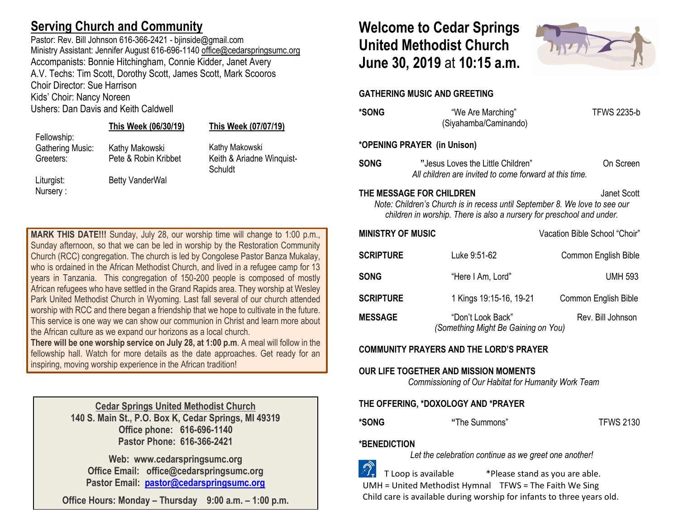## **Serving Church and Community**

Pastor: Rev. Bill Johnson 616-366-2421 - bjinside@gmail.com Ministry Assistant: Jennifer August 616-696-1140 [office@cedarspringsumc.org](mailto:office@cedarspringsumc.org) Accompanists: Bonnie Hitchingham, Connie Kidder, Janet Avery A.V. Techs: Tim Scott, Dorothy Scott, James Scott, Mark Scooros Choir Director: Sue Harrison Kids' Choir: Nancy Noreen

Ushers: Dan Davis and Keith Caldwell

### **This Week (06/30/19) This Week (07/07/19)**

Fellowship:

Nursery :

Liturgist: Betty VanderWal

Gathering Music: Kathy Makowski Kathy Makowski Greeters: Pete & Robin Kribbet Keith & Ariadne Winquist-**Schuldt** 

**MARK THIS DATE!!!** Sunday, July 28, our worship time will change to 1:00 p.m., Sunday afternoon, so that we can be led in worship by the Restoration Community Church (RCC) congregation. The church is led by Congolese Pastor Banza Mukalay, who is ordained in the African Methodist Church, and lived in a refugee camp for 13 years in Tanzania. This congregation of 150-200 people is composed of mostly African refugees who have settled in the Grand Rapids area. They worship at Wesley Park United Methodist Church in Wyoming. Last fall several of our church attended worship with RCC and there began a friendship that we hope to cultivate in the future. This service is one way we can show our communion in Christ and learn more about the African culture as we expand our horizons as a local church.

**There will be one worship service on July 28, at 1:00 p.m**. A meal will follow in the fellowship hall. Watch for more details as the date approaches. Get ready for an inspiring, moving worship experience in the African tradition!

> **Cedar Springs United Methodist Church 140 S. Main St., P.O. Box K, Cedar Springs, MI 49319 Office phone: 616-696-1140 Pastor Phone: 616-366-2421**

**Web: www.cedarspringsumc.org Office Email: office@cedarspringsumc.org Pastor Email: [pastor@cedarspringsumc.org](mailto:pastor@cedarspringsumc.org)**

**Office Hours: Monday – Thursday 9:00 a.m. – 1:00 p.m.**

# **Welcome to Cedar Springs United Methodist Church June 30, 2019** at **10:15 a.m.**



**GATHERING MUSIC AND GREETING** 

| *SONG                                                                                                                                                                                          | "We Are Marching"<br>(Siyahamba/Caminando)                                                  | <b>TFWS 2235-b</b>            |  |  |  |
|------------------------------------------------------------------------------------------------------------------------------------------------------------------------------------------------|---------------------------------------------------------------------------------------------|-------------------------------|--|--|--|
| *OPENING PRAYER (in Unison)                                                                                                                                                                    |                                                                                             |                               |  |  |  |
| SONG                                                                                                                                                                                           | "Jesus Loves the Little Children"<br>All children are invited to come forward at this time. | On Screen                     |  |  |  |
| THE MESSAGE FOR CHILDREN<br>Janet Scott<br>Note: Children's Church is in recess until September 8. We love to see our<br>children in worship. There is also a nursery for preschool and under. |                                                                                             |                               |  |  |  |
| <b>MINISTRY OF MUSIC</b>                                                                                                                                                                       |                                                                                             | Vacation Bible School "Choir" |  |  |  |
| <b>SCRIPTURE</b>                                                                                                                                                                               | Luke 9:51-62                                                                                | Common English Bible          |  |  |  |
| SONG                                                                                                                                                                                           | "Here I Am, Lord"                                                                           | <b>UMH 593</b>                |  |  |  |
| <b>SCRIPTURE</b>                                                                                                                                                                               | 1 Kings 19:15-16, 19-21                                                                     | Common English Bible          |  |  |  |
| <b>MESSAGE</b>                                                                                                                                                                                 | "Don't Look Back"<br>(Something Might Be Gaining on You)                                    | Rev. Bill Johnson             |  |  |  |

**COMMUNITY PRAYERS AND THE LORD'S PRAYER**

## **OUR LIFE TOGETHER AND MISSION MOMENTS**

*Commissioning of Our Habitat for Humanity Work Team*

### **THE OFFERING, \*DOXOLOGY AND \*PRAYER**

**\*SONG "**The Summons" TFWS 2130

### **\*BENEDICTION**

*Let the celebration continue as we greet one another!*

 T Loop is available \*Please stand as you are able. UMH = United Methodist Hymnal TFWS = The Faith We Sing Child care is available during worship for infants to three years old.